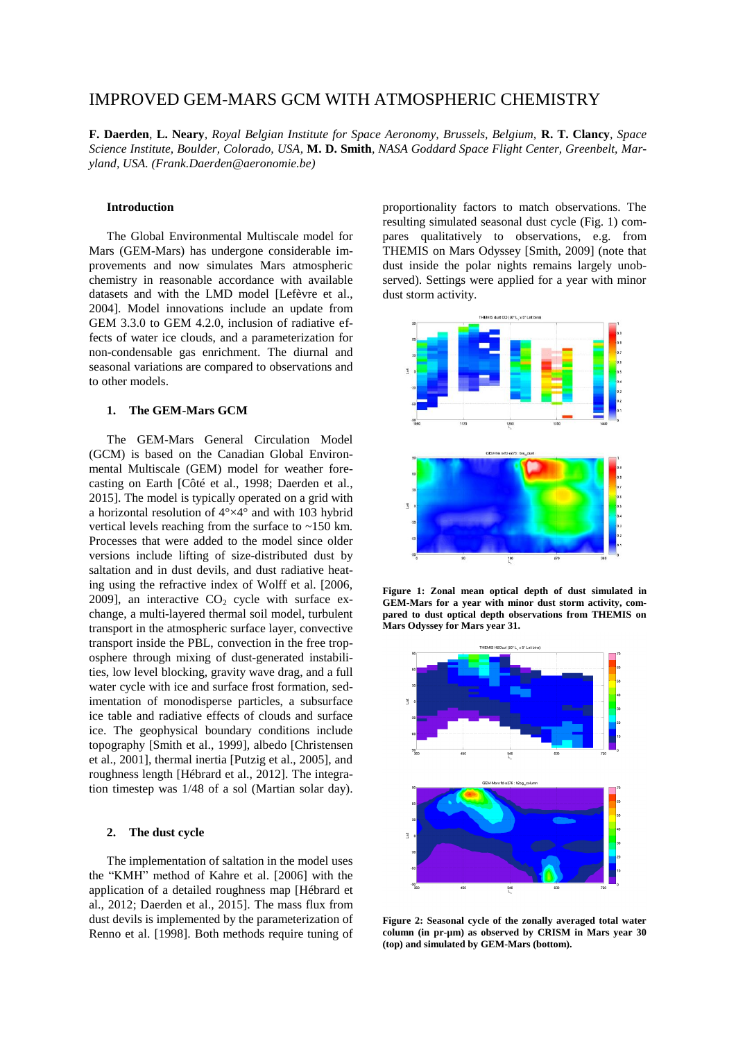# IMPROVED GEM-MARS GCM WITH ATMOSPHERIC CHEMISTRY

**F. Daerden**, **L. Neary***, Royal Belgian Institute for Space Aeronomy, Brussels, Belgium,* **R. T. Clancy***, Space Science Institute, Boulder, Colorado, USA,* **M. D. Smith***, NASA Goddard Space Flight Center, Greenbelt, Maryland, USA. (Frank.Daerden@aeronomie.be)*

#### **Introduction**

The Global Environmental Multiscale model for Mars (GEM-Mars) has undergone considerable improvements and now simulates Mars atmospheric chemistry in reasonable accordance with available datasets and with the LMD model [Lefèvre et al., 2004]. Model innovations include an update from GEM 3.3.0 to GEM 4.2.0, inclusion of radiative effects of water ice clouds, and a parameterization for non-condensable gas enrichment. The diurnal and seasonal variations are compared to observations and to other models.

# **1. The GEM-Mars GCM**

The GEM-Mars General Circulation Model (GCM) is based on the Canadian Global Environmental Multiscale (GEM) model for weather forecasting on Earth [Côté et al., 1998; Daerden et al., 2015]. The model is typically operated on a grid with a horizontal resolution of 4°×4° and with 103 hybrid vertical levels reaching from the surface to ~150 km. Processes that were added to the model since older versions include lifting of size-distributed dust by saltation and in dust devils, and dust radiative heating using the refractive index of Wolff et al. [2006, 2009], an interactive  $CO<sub>2</sub>$  cycle with surface exchange, a multi-layered thermal soil model, turbulent transport in the atmospheric surface layer, convective transport inside the PBL, convection in the free troposphere through mixing of dust-generated instabilities, low level blocking, gravity wave drag, and a full water cycle with ice and surface frost formation, sedimentation of monodisperse particles, a subsurface ice table and radiative effects of clouds and surface ice. The geophysical boundary conditions include topography [Smith et al., 1999], albedo [Christensen et al., 2001], thermal inertia [Putzig et al., 2005], and roughness length [Hébrard et al., 2012]. The integration timestep was 1/48 of a sol (Martian solar day).

# **2. The dust cycle**

The implementation of saltation in the model uses the "KMH" method of Kahre et al. [2006] with the application of a detailed roughness map [Hébrard et al., 2012; Daerden et al., 2015]. The mass flux from dust devils is implemented by the parameterization of Renno et al. [1998]. Both methods require tuning of proportionality factors to match observations. The resulting simulated seasonal dust cycle (Fig. 1) compares qualitatively to observations, e.g. from THEMIS on Mars Odyssey [Smith, 2009] (note that dust inside the polar nights remains largely unobserved). Settings were applied for a year with minor dust storm activity.



**Figure 1: Zonal mean optical depth of dust simulated in GEM-Mars for a year with minor dust storm activity, compared to dust optical depth observations from THEMIS on Mars Odyssey for Mars year 31.** 



**Figure 2: Seasonal cycle of the zonally averaged total water column (in pr-µm) as observed by CRISM in Mars year 30 (top) and simulated by GEM-Mars (bottom).**